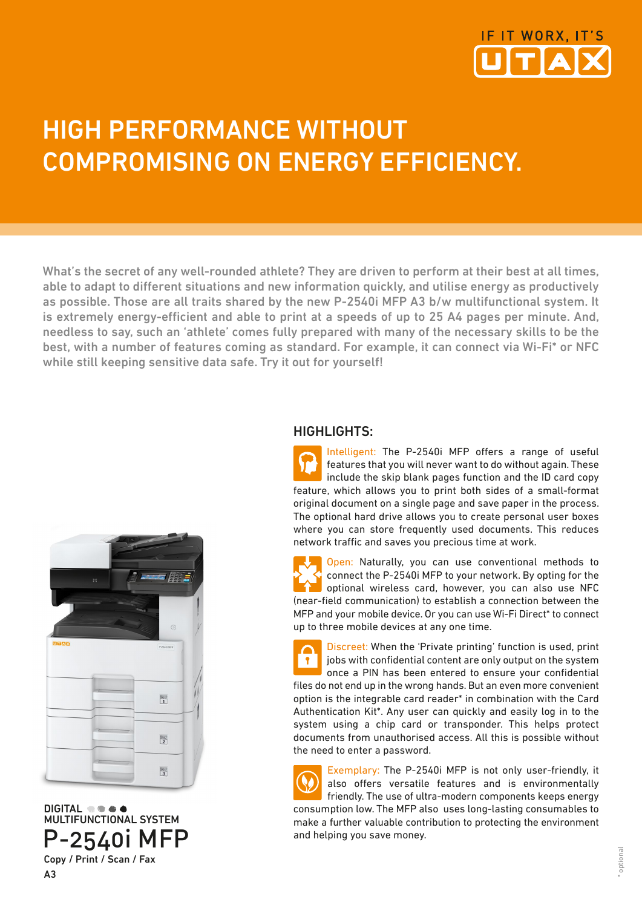

# HIGH PERFORMANCE WITHOUT COMPROMISING ON ENERGY EFFICIENCY.

What's the secret of any well-rounded athlete? They are driven to perform at their best at all times, able to adapt to different situations and new information quickly, and utilise energy as productively as possible. Those are all traits shared by the new P-2540i MFP A3 b/w multifunctional system. It is extremely energy-efficient and able to print at a speeds of up to 25 A4 pages per minute. And, needless to say, such an 'athlete' comes fully prepared with many of the necessary skills to be the best, with a number of features coming as standard. For example, it can connect via Wi-Fi\* or NFC while still keeping sensitive data safe. Try it out for yourself!



DIGITAL **the atom** MULTIFUNCTIONAL SYSTEM P-2540i MFP Copy / Print / Scan / Fax

A3

### HIGHLIGHTS:

Intelligent: The P-2540i MFP offers a range of useful features that you will never want to do without again. These include the skip blank pages function and the ID card copy feature, which allows you to print both sides of a small-format original document on a single page and save paper in the process. The optional hard drive allows you to create personal user boxes where you can store frequently used documents. This reduces network traffic and saves you precious time at work.

Open: Naturally, you can use conventional methods to connect the P-2540i MFP to your network. By opting for the optional wireless card, however, you can also use NFC (near-field communication) to establish a connection between the MFP and your mobile device. Or you can use Wi-Fi Direct\* to connect up to three mobile devices at any one time.

Discreet: When the 'Private printing' function is used, print jobs with confidential content are only output on the system  $\bullet$ once a PIN has been entered to ensure your confidential files do not end up in the wrong hands. But an even more convenient option is the integrable card reader\* in combination with the Card Authentication Kit\*. Any user can quickly and easily log in to the system using a chip card or transponder. This helps protect documents from unauthorised access. All this is possible without the need to enter a password.

Exemplary: The P-2540i MFP is not only user-friendly, it also offers versatile features and is environmentally friendly. The use of ultra-modern components keeps energy consumption low. The MFP also uses long-lasting consumables to make a further valuable contribution to protecting the environment and helping you save money.